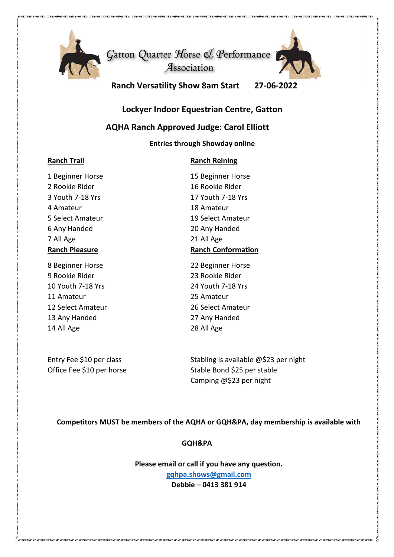

Gatton Quarter Horse & Performance Association



**Ranch Versatility Show 8am Start 27-06-2022**

## **Lockyer Indoor Equestrian Centre, Gatton**

## **AQHA Ranch Approved Judge: Carol Elliott**

#### **Entries through Showday online**

### **Ranch Trail Ranch Reining**

# 1 Beginner Horse 15 Beginner Horse 2 Rookie Rider 16 Rookie Rider 4 Amateur 18 Amateur 6 Any Handed 20 Any Handed 7 All Age 21 All Age

9 Rookie Rider 23 Rookie Rider 10 Youth 7-18 Yrs 24 Youth 7-18 Yrs 11 Amateur 25 Amateur 12 Select Amateur 26 Select Amateur 13 Any Handed 27 Any Handed 14 All Age 28 All Age

3 Youth 7-18 Yrs 17 Youth 7-18 Yrs 5 Select Amateur 19 Select Amateur **Ranch Pleasure Ranch Conformation**

8 Beginner Horse 22 Beginner Horse

Entry Fee \$10 per class Stabling is available  $\omega$ \$23 per night Office Fee \$10 per horse Stable Bond \$25 per stable Camping @\$23 per night

### **Competitors MUST be members of the AQHA or GQH&PA, day membership is available with**

### **GQH&PA**

**Please email or call if you have any question. [gqhpa.shows@gmail.com](mailto:gqhpa.shows@gmail.com) Debbie – 0413 381 914**